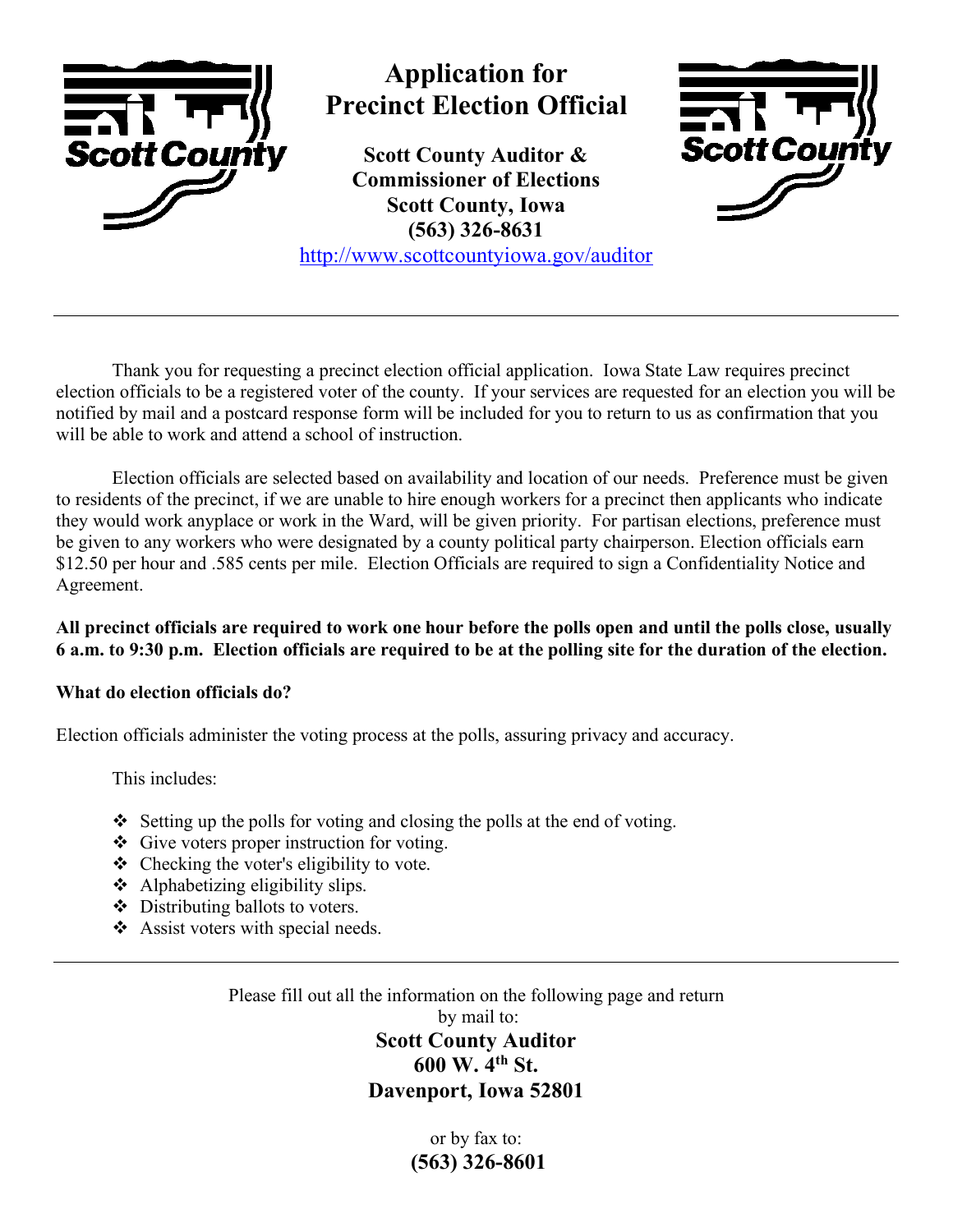

## **Application for Precinct Election Official**

**Scott County Auditor & Commissioner of Elections Scott County, Iowa (563) 326-8631**

http://www.scottcountyiowa.gov/auditor

Thank you for requesting a precinct election official application. Iowa State Law requires precinct election officials to be a registered voter of the county. If your services are requested for an election you will be notified by mail and a postcard response form will be included for you to return to us as confirmation that you will be able to work and attend a school of instruction.

Election officials are selected based on availability and location of our needs. Preference must be given to residents of the precinct, if we are unable to hire enough workers for a precinct then applicants who indicate they would work anyplace or work in the Ward, will be given priority. For partisan elections, preference must be given to any workers who were designated by a county political party chairperson. Election officials earn \$12.50 per hour and .585 cents per mile. Election Officials are required to sign a Confidentiality Notice and Agreement.

## **All precinct officials are required to work one hour before the polls open and until the polls close, usually 6 a.m. to 9:30 p.m. Election officials are required to be at the polling site for the duration of the election.**

## **What do election officials do?**

Election officials administer the voting process at the polls, assuring privacy and accuracy.

This includes:

- $\triangleleft$  Setting up the polls for voting and closing the polls at the end of voting.
- $\triangleleft$  Give voters proper instruction for voting.
- $\triangleleft$  Checking the voter's eligibility to vote.
- \* Alphabetizing eligibility slips.
- $\triangleleft$  Distributing ballots to voters.
- $\triangleleft$  Assist voters with special needs.

Please fill out all the information on the following page and return by mail to: **Scott County Auditor 600 W. 4th St. Davenport, Iowa 52801**

> or by fax to: **(563) 326-8601**